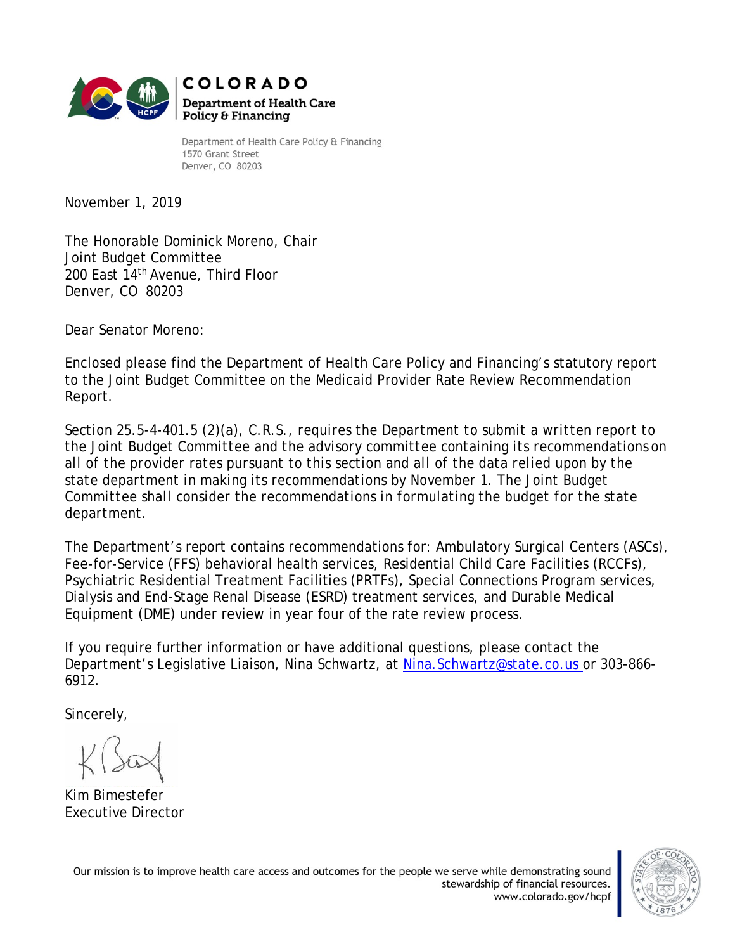

Department of Health Care Policy & Financing 1570 Grant Street Denver, CO 80203

November 1, 2019

The Honorable Dominick Moreno, Chair Joint Budget Committee 200 East 14th Avenue, Third Floor Denver, CO 80203

Dear Senator Moreno:

Enclosed please find the Department of Health Care Policy and Financing's statutory report to the Joint Budget Committee on the Medicaid Provider Rate Review Recommendation Report.

*Section 25.5-4-401.5 (2)(a), C.R.S., requires the Department to submit a written report to the Joint Budget Committee and the advisory committee containing its recommendations on all of the provider rates pursuant to this section and all of the data relied upon by the state department in making its recommendations by November 1. The Joint Budget Committee shall consider the recommendations in formulating the budget for the state department.*

The Department's report contains recommendations for: Ambulatory Surgical Centers (ASCs), Fee-for-Service (FFS) behavioral health services, Residential Child Care Facilities (RCCFs), Psychiatric Residential Treatment Facilities (PRTFs), Special Connections Program services, Dialysis and End-Stage Renal Disease (ESRD) treatment services, and Durable Medical Equipment (DME) under review in year four of the rate review process.

If you require further information or have additional questions, please contact the Department's Legislative Liaison, Nina Schwartz, at Nina. Schwartz@state.co.us or 303-866-6912.

Sincerely,

Kim Bimestefer Executive Director

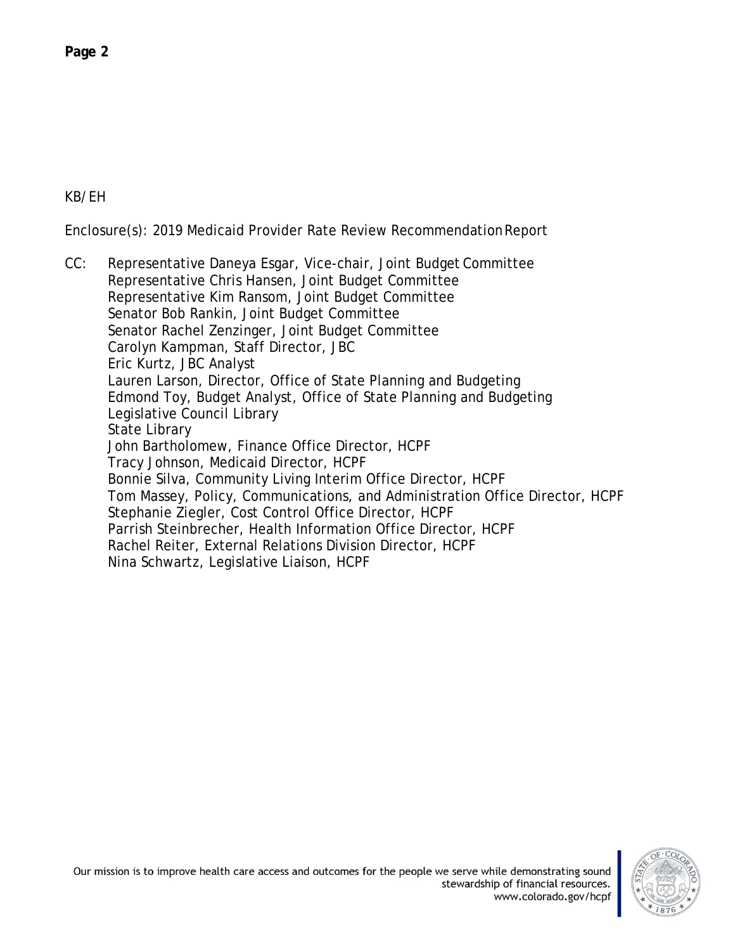KB/EH

Enclosure(s): 2019 Medicaid Provider Rate Review RecommendationReport

CC: Representative Daneya Esgar, Vice-chair, Joint Budget Committee Representative Chris Hansen, Joint Budget Committee Representative Kim Ransom, Joint Budget Committee Senator Bob Rankin, Joint Budget Committee Senator Rachel Zenzinger, Joint Budget Committee Carolyn Kampman, Staff Director, JBC Eric Kurtz, JBC Analyst Lauren Larson, Director, Office of State Planning and Budgeting Edmond Toy, Budget Analyst, Office of State Planning and Budgeting Legislative Council Library State Library John Bartholomew, Finance Office Director, HCPF Tracy Johnson, Medicaid Director, HCPF Bonnie Silva, Community Living Interim Office Director, HCPF Tom Massey, Policy, Communications, and Administration Office Director, HCPF Stephanie Ziegler, Cost Control Office Director, HCPF Parrish Steinbrecher, Health Information Office Director, HCPF Rachel Reiter, External Relations Division Director, HCPF Nina Schwartz, Legislative Liaison, HCPF

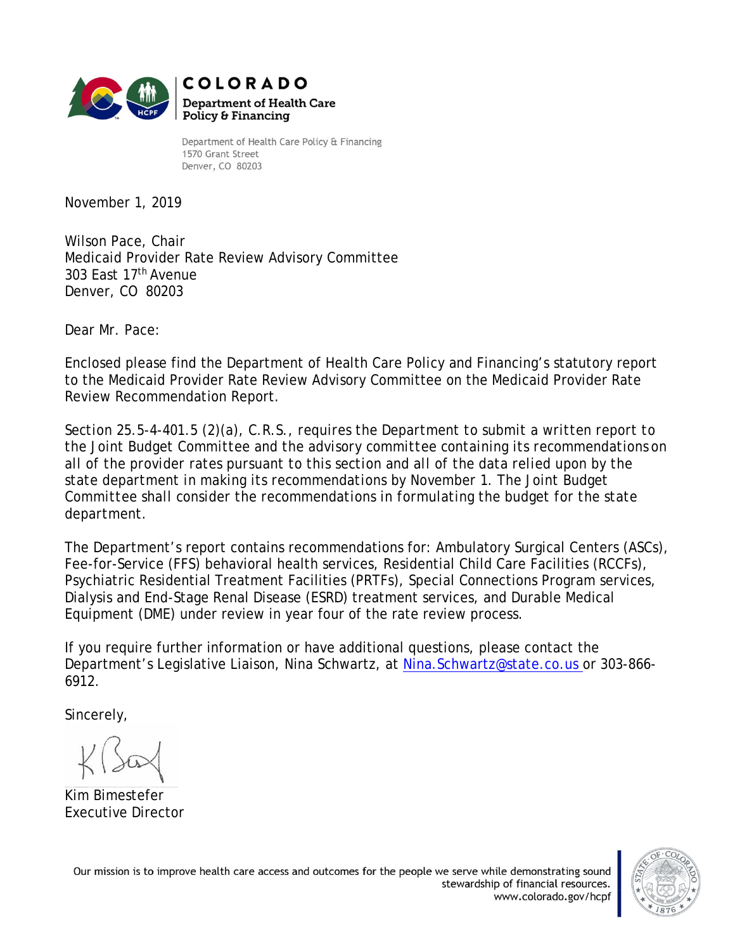

Department of Health Care Policy & Financing 1570 Grant Street Denver, CO 80203

November 1, 2019

Wilson Pace, Chair Medicaid Provider Rate Review Advisory Committee 303 East 17th Avenue Denver, CO 80203

Dear Mr. Pace:

Enclosed please find the Department of Health Care Policy and Financing's statutory report to the Medicaid Provider Rate Review Advisory Committee on the Medicaid Provider Rate Review Recommendation Report.

*Section 25.5-4-401.5 (2)(a), C.R.S., requires the Department to submit a written report to the Joint Budget Committee and the advisory committee containing its recommendations on all of the provider rates pursuant to this section and all of the data relied upon by the state department in making its recommendations by November 1. The Joint Budget Committee shall consider the recommendations in formulating the budget for the state department.*

The Department's report contains recommendations for: Ambulatory Surgical Centers (ASCs), Fee-for-Service (FFS) behavioral health services, Residential Child Care Facilities (RCCFs), Psychiatric Residential Treatment Facilities (PRTFs), Special Connections Program services, Dialysis and End-Stage Renal Disease (ESRD) treatment services, and Durable Medical Equipment (DME) under review in year four of the rate review process.

If you require further information or have additional questions, please contact the Department's Legislative Liaison, Nina Schwartz, at Nina. Schwartz@state.co.us or 303-866-6912.

Sincerely,

Kim Bimestefer Executive Director

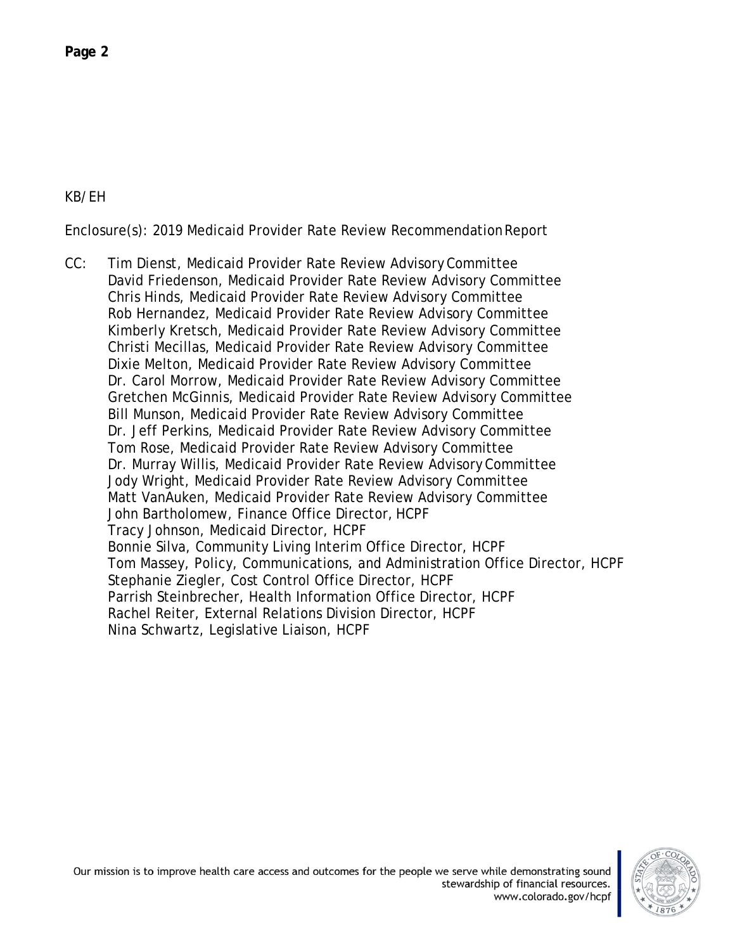## KB/EH

Enclosure(s): 2019 Medicaid Provider Rate Review RecommendationReport

CC: Tim Dienst, Medicaid Provider Rate Review AdvisoryCommittee David Friedenson, Medicaid Provider Rate Review Advisory Committee Chris Hinds, Medicaid Provider Rate Review Advisory Committee Rob Hernandez, Medicaid Provider Rate Review Advisory Committee Kimberly Kretsch, Medicaid Provider Rate Review Advisory Committee Christi Mecillas, Medicaid Provider Rate Review Advisory Committee Dixie Melton, Medicaid Provider Rate Review Advisory Committee Dr. Carol Morrow, Medicaid Provider Rate Review Advisory Committee Gretchen McGinnis, Medicaid Provider Rate Review Advisory Committee Bill Munson, Medicaid Provider Rate Review Advisory Committee Dr. Jeff Perkins, Medicaid Provider Rate Review Advisory Committee Tom Rose, Medicaid Provider Rate Review Advisory Committee Dr. Murray Willis, Medicaid Provider Rate Review Advisory Committee Jody Wright, Medicaid Provider Rate Review Advisory Committee Matt VanAuken, Medicaid Provider Rate Review Advisory Committee John Bartholomew, Finance Office Director, HCPF Tracy Johnson, Medicaid Director, HCPF Bonnie Silva, Community Living Interim Office Director, HCPF Tom Massey, Policy, Communications, and Administration Office Director, HCPF Stephanie Ziegler, Cost Control Office Director, HCPF Parrish Steinbrecher, Health Information Office Director, HCPF Rachel Reiter, External Relations Division Director, HCPF Nina Schwartz, Legislative Liaison, HCPF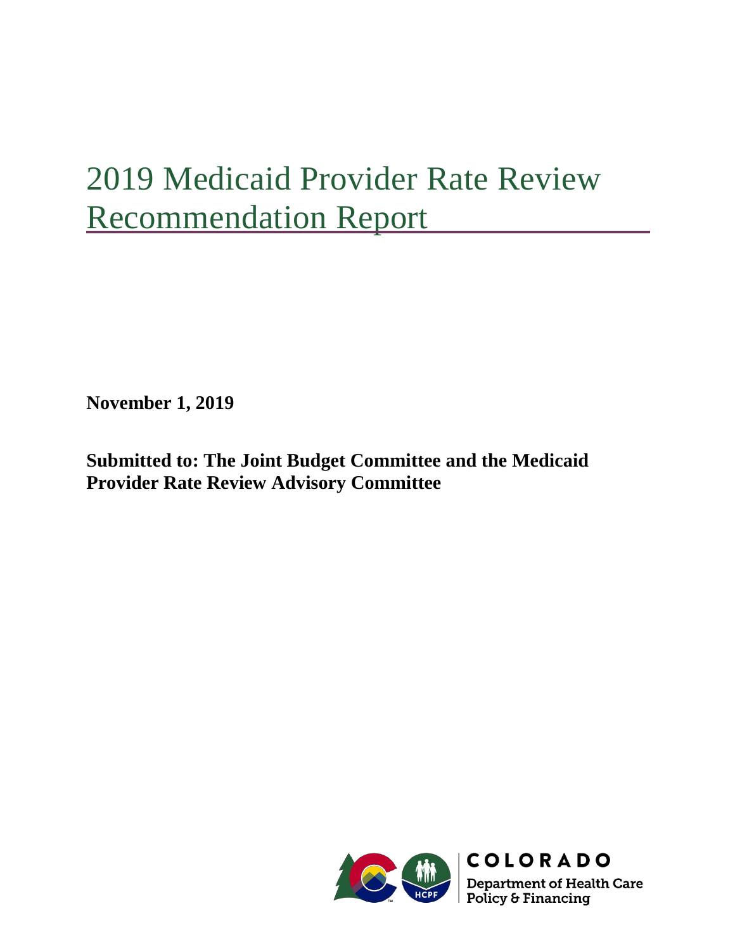# 2019 Medicaid Provider Rate Review Recommendation Report

**November 1, 2019**

**Submitted to: The Joint Budget Committee and the Medicaid Provider Rate Review Advisory Committee**



**Department of Health Care<br>Policy & Financing**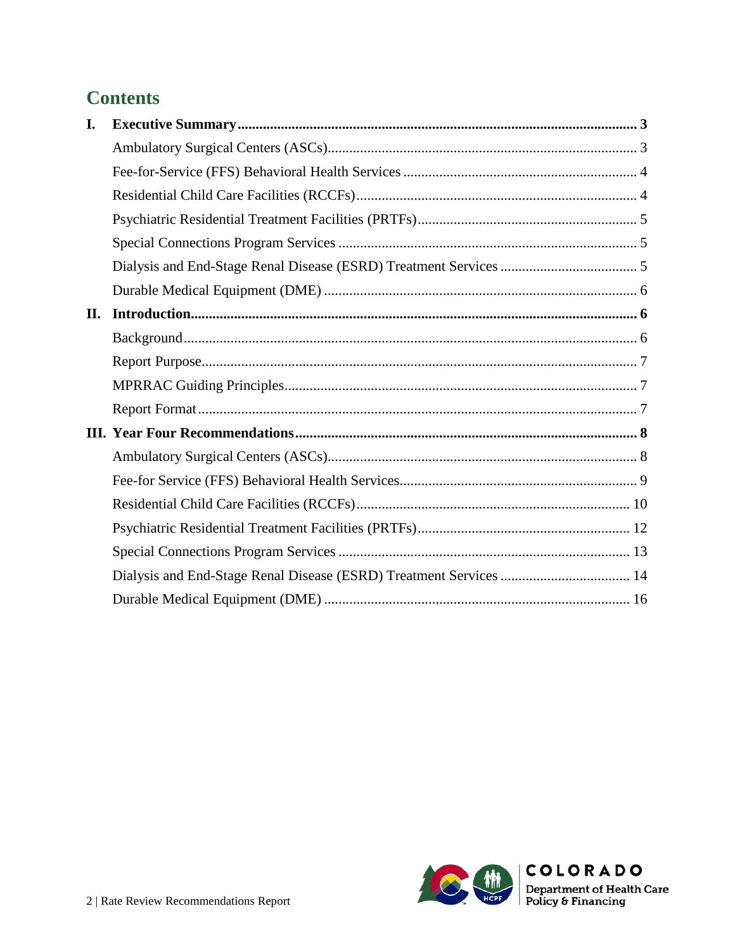## **Contents**

| I. |                                                                    |  |
|----|--------------------------------------------------------------------|--|
|    |                                                                    |  |
|    |                                                                    |  |
|    |                                                                    |  |
|    |                                                                    |  |
|    |                                                                    |  |
|    |                                                                    |  |
|    |                                                                    |  |
| П. |                                                                    |  |
|    |                                                                    |  |
|    |                                                                    |  |
|    |                                                                    |  |
|    |                                                                    |  |
|    |                                                                    |  |
|    |                                                                    |  |
|    |                                                                    |  |
|    |                                                                    |  |
|    |                                                                    |  |
|    |                                                                    |  |
|    | Dialysis and End-Stage Renal Disease (ESRD) Treatment Services  14 |  |
|    |                                                                    |  |

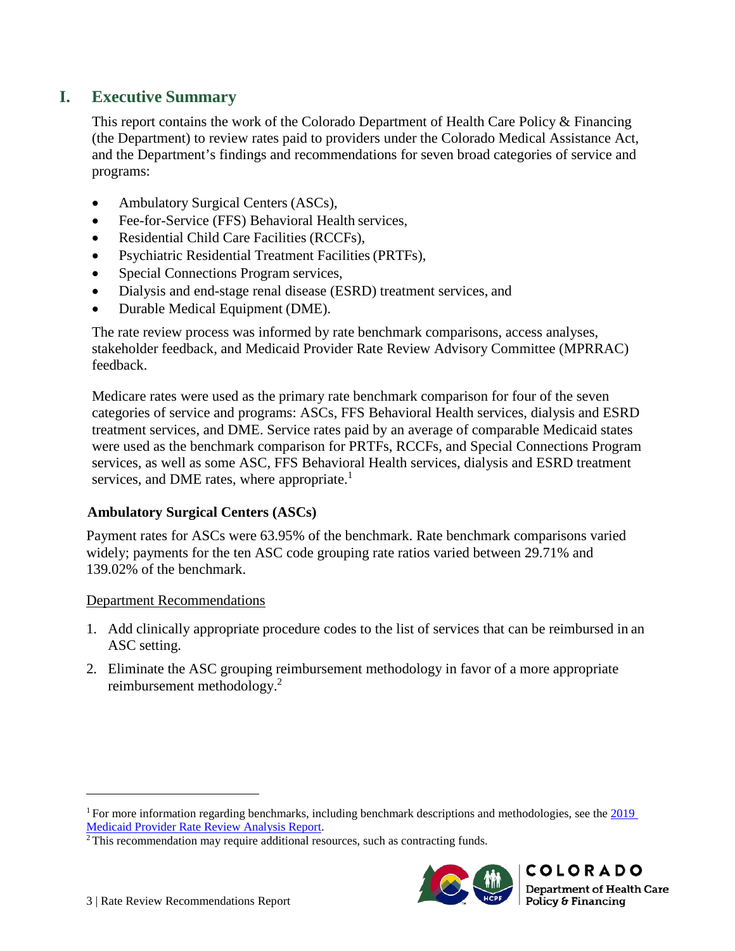## <span id="page-6-0"></span>**I. Executive Summary**

This report contains the work of the Colorado Department of Health Care Policy & Financing (the Department) to review rates paid to providers under the Colorado Medical Assistance Act, and the Department's findings and recommendations for seven broad categories of service and programs:

- Ambulatory Surgical Centers (ASCs),
- Fee-for-Service (FFS) Behavioral Health services,
- Residential Child Care Facilities (RCCFs),
- Psychiatric Residential Treatment Facilities(PRTFs),
- Special Connections Program services,
- Dialysis and end-stage renal disease (ESRD) treatment services, and
- Durable Medical Equipment (DME).

The rate review process was informed by rate benchmark comparisons, access analyses, stakeholder feedback, and Medicaid Provider Rate Review Advisory Committee (MPRRAC) feedback.

Medicare rates were used as the primary rate benchmark comparison for four of the seven categories of service and programs: ASCs, FFS Behavioral Health services, dialysis and ESRD treatment services, and DME. Service rates paid by an average of comparable Medicaid states were used as the benchmark comparison for PRTFs, RCCFs, and Special Connections Program services, as well as some ASC, FFS Behavioral Health services, dialysis and ESRD treatment services, and DME rates, where appropriate.<sup>1</sup>

## <span id="page-6-1"></span>**Ambulatory Surgical Centers (ASCs)**

Payment rates for ASCs were 63.95% of the benchmark. Rate benchmark comparisons varied widely; payments for the ten ASC code grouping rate ratios varied between 29.71% and 139.02% of the benchmark.

#### Department Recommendations

- 1. Add clinically appropriate procedure codes to the list of services that can be reimbursed in an ASC setting.
- 2. Eliminate the ASC grouping reimbursement methodology in favor of a more appropriate reimbursement methodology.<sup>2</sup>

<sup>&</sup>lt;sup>2</sup>This recommendation may require additional resources, such as contracting funds.



<sup>1</sup> For more information regarding benchmarks, including benchmark descriptions and methodologies, see the [2019](https://www.colorado.gov/pacific/sites/default/files/2019%20Medicaid%20Provider%20Rate%20Review%20Analysis%20Report-v2.pdf) [Medicaid Provider Rate Review Analysis Report.](https://www.colorado.gov/pacific/sites/default/files/2019%20Medicaid%20Provider%20Rate%20Review%20Analysis%20Report-v2.pdf)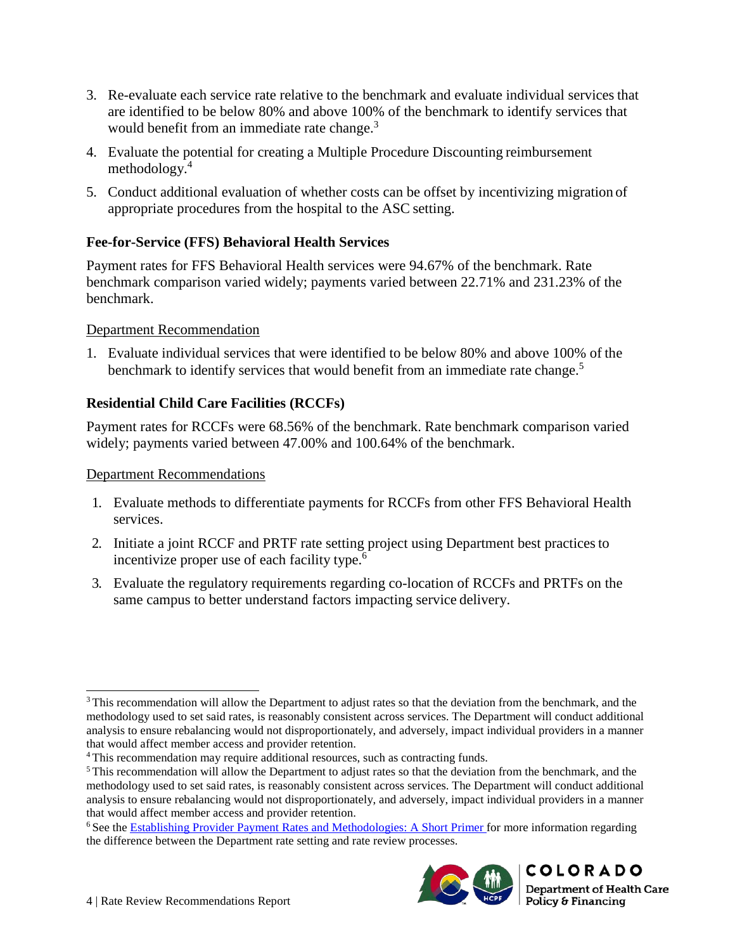- 3. Re-evaluate each service rate relative to the benchmark and evaluate individual services that are identified to be below 80% and above 100% of the benchmark to identify services that would benefit from an immediate rate change.<sup>3</sup>
- 4. Evaluate the potential for creating a Multiple Procedure Discounting reimbursement methodology.4
- 5. Conduct additional evaluation of whether costs can be offset by incentivizing migration of appropriate procedures from the hospital to the ASC setting.

## <span id="page-7-0"></span>**Fee-for-Service (FFS) Behavioral Health Services**

Payment rates for FFS Behavioral Health services were 94.67% of the benchmark. Rate benchmark comparison varied widely; payments varied between 22.71% and 231.23% of the benchmark.

#### Department Recommendation

1. Evaluate individual services that were identified to be below 80% and above 100% of the benchmark to identify services that would benefit from an immediate rate change.<sup>5</sup>

## <span id="page-7-1"></span>**Residential Child Care Facilities (RCCFs)**

Payment rates for RCCFs were 68.56% of the benchmark. Rate benchmark comparison varied widely; payments varied between 47.00% and 100.64% of the benchmark.

#### Department Recommendations

- 1. Evaluate methods to differentiate payments for RCCFs from other FFS Behavioral Health services.
- 2. Initiate a joint RCCF and PRTF rate setting project using Department best practicesto incentivize proper use of each facility type.<sup>6</sup>
- 3. Evaluate the regulatory requirements regarding co-location of RCCFs and PRTFs on the same campus to better understand factors impacting service delivery.

<sup>6</sup> See the [Establishing Provider Payment Rates and Methodologies: A Short Primer f](https://www.colorado.gov/pacific/sites/default/files/Establishing%20Provider%20Payment%20Rates%20and%20Methodologies%20-%20A%20Short%20Primer.pdf)or more information regarding the difference between the Department rate setting and rate review processes.



<sup>&</sup>lt;sup>3</sup> This recommendation will allow the Department to adjust rates so that the deviation from the benchmark, and the methodology used to set said rates, is reasonably consistent across services. The Department will conduct additional analysis to ensure rebalancing would not disproportionately, and adversely, impact individual providers in a manner that would affect member access and provider retention.

<sup>&</sup>lt;sup>4</sup> This recommendation may require additional resources, such as contracting funds.

<sup>5</sup> This recommendation will allow the Department to adjust rates so that the deviation from the benchmark, and the methodology used to set said rates, is reasonably consistent across services. The Department will conduct additional analysis to ensure rebalancing would not disproportionately, and adversely, impact individual providers in a manner that would affect member access and provider retention.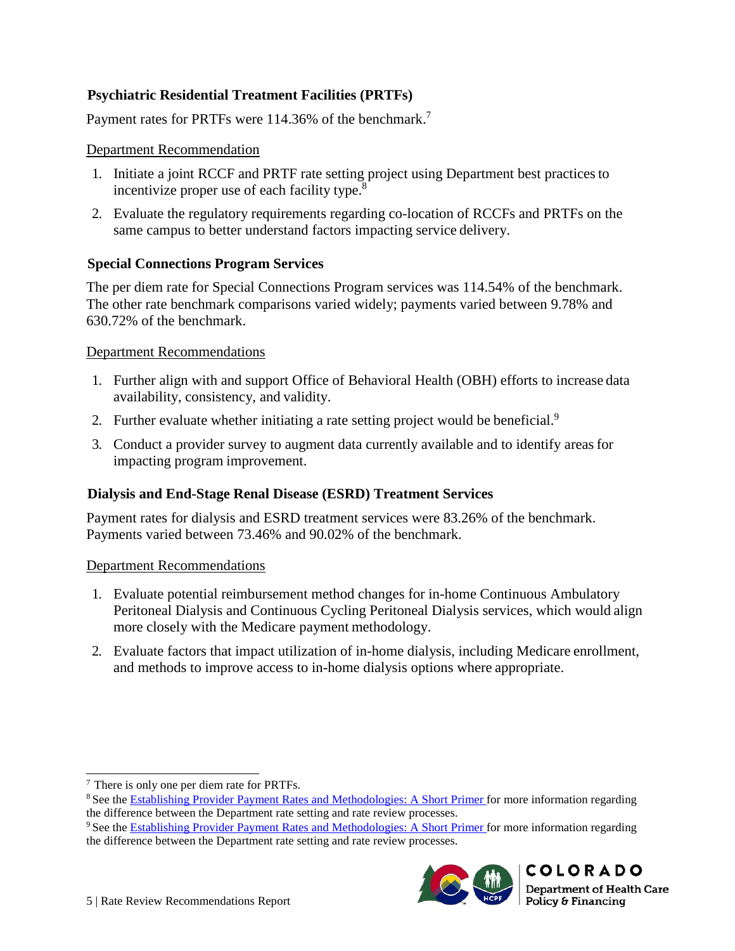## <span id="page-8-0"></span>**Psychiatric Residential Treatment Facilities (PRTFs)**

Payment rates for PRTFs were 114.36% of the benchmark.<sup>7</sup>

#### Department Recommendation

- 1. Initiate a joint RCCF and PRTF rate setting project using Department best practicesto incentivize proper use of each facility type.<sup>8</sup>
- 2. Evaluate the regulatory requirements regarding co-location of RCCFs and PRTFs on the same campus to better understand factors impacting service delivery.

#### <span id="page-8-1"></span>**Special Connections Program Services**

The per diem rate for Special Connections Program services was 114.54% of the benchmark. The other rate benchmark comparisons varied widely; payments varied between 9.78% and 630.72% of the benchmark.

#### Department Recommendations

- 1. Further align with and support Office of Behavioral Health (OBH) efforts to increase data availability, consistency, and validity.
- 2. Further evaluate whether initiating a rate setting project would be beneficial.<sup>9</sup>
- 3. Conduct a provider survey to augment data currently available and to identify areasfor impacting program improvement.

## <span id="page-8-2"></span>**Dialysis and End-Stage Renal Disease (ESRD) Treatment Services**

Payment rates for dialysis and ESRD treatment services were 83.26% of the benchmark. Payments varied between 73.46% and 90.02% of the benchmark.

#### Department Recommendations

- 1. Evaluate potential reimbursement method changes for in-home Continuous Ambulatory Peritoneal Dialysis and Continuous Cycling Peritoneal Dialysis services, which would align more closely with the Medicare payment methodology.
- 2. Evaluate factors that impact utilization of in-home dialysis, including Medicare enrollment, and methods to improve access to in-home dialysis options where appropriate.

<sup>&</sup>lt;sup>9</sup> See the [Establishing Provider Payment Rates and Methodologies: A Short Primer f](https://www.colorado.gov/pacific/sites/default/files/Establishing%20Provider%20Payment%20Rates%20and%20Methodologies%20-%20A%20Short%20Primer.pdf)or more information regarding the difference between the Department rate setting and rate review processes.



<sup>&</sup>lt;sup>7</sup> There is only one per diem rate for PRTFs.

<sup>&</sup>lt;sup>8</sup> See the [Establishing Provider Payment Rates and Methodologies: A Short Primer f](https://www.colorado.gov/pacific/sites/default/files/Establishing%20Provider%20Payment%20Rates%20and%20Methodologies%20-%20A%20Short%20Primer.pdf)or more information regarding the difference between the Department rate setting and rate review processes.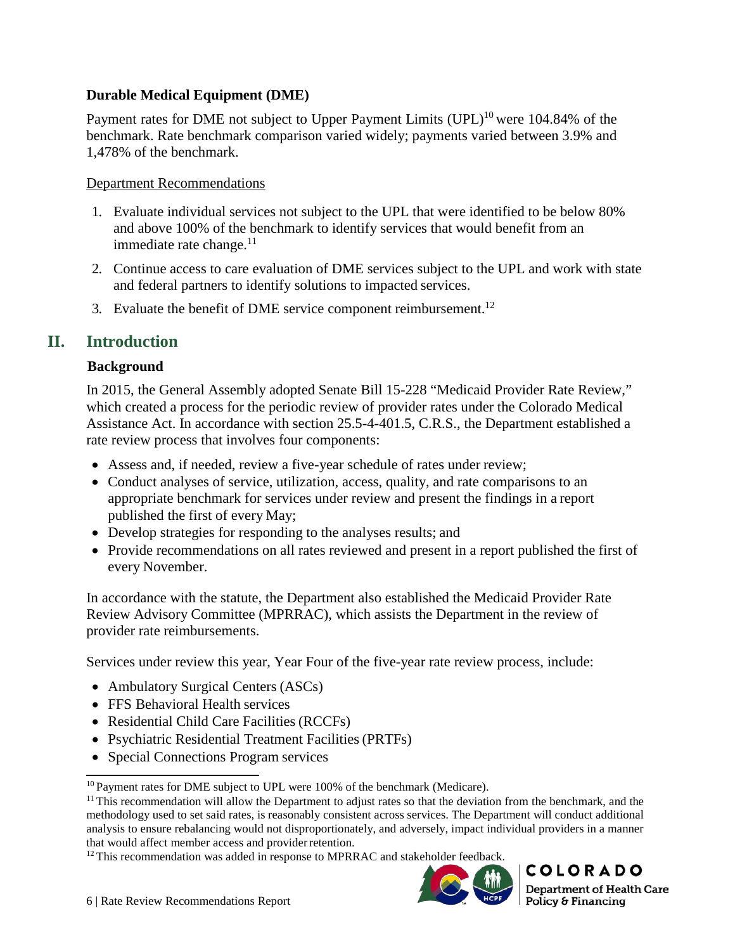## <span id="page-9-0"></span>**Durable Medical Equipment (DME)**

Payment rates for DME not subject to Upper Payment Limits  $(UPL)^{10}$  were 104.84% of the benchmark. Rate benchmark comparison varied widely; payments varied between 3.9% and 1,478% of the benchmark.

#### Department Recommendations

- 1. Evaluate individual services not subject to the UPL that were identified to be below 80% and above 100% of the benchmark to identify services that would benefit from an immediate rate change. $11$
- 2. Continue access to care evaluation of DME services subject to the UPL and work with state and federal partners to identify solutions to impacted services.
- 3. Evaluate the benefit of DME service component reimbursement.<sup>12</sup>

## <span id="page-9-2"></span><span id="page-9-1"></span>**II. Introduction**

#### **Background**

In 2015, the General Assembly adopted Senate Bill 15-228 "Medicaid Provider Rate Review," which created a process for the periodic review of provider rates under the Colorado Medical Assistance Act. In accordance with section 25.5-4-401.5, C.R.S., the Department established a rate review process that involves four components:

- Assess and, if needed, review a five-year schedule of rates under review;
- Conduct analyses of service, utilization, access, quality, and rate comparisons to an appropriate benchmark for services under review and present the findings in a report published the first of every May;
- Develop strategies for responding to the analyses results; and
- Provide recommendations on all rates reviewed and present in a report published the first of every November.

In accordance with the statute, the Department also established the Medicaid Provider Rate Review Advisory Committee (MPRRAC), which assists the Department in the review of provider rate reimbursements.

Services under review this year, Year Four of the five-year rate review process, include:

- Ambulatory Surgical Centers (ASCs)
- FFS Behavioral Health services
- Residential Child Care Facilities (RCCFs)
- Psychiatric Residential Treatment Facilities (PRTFs)
- Special Connections Program services

<sup>&</sup>lt;sup>12</sup> This recommendation was added in response to MPRRAC and stakeholder feedback.



<sup>&</sup>lt;sup>10</sup> Payment rates for DME subject to UPL were 100% of the benchmark (Medicare).

 $11$  This recommendation will allow the Department to adjust rates so that the deviation from the benchmark, and the methodology used to set said rates, is reasonably consistent across services. The Department will conduct additional analysis to ensure rebalancing would not disproportionately, and adversely, impact individual providers in a manner that would affect member access and provider retention.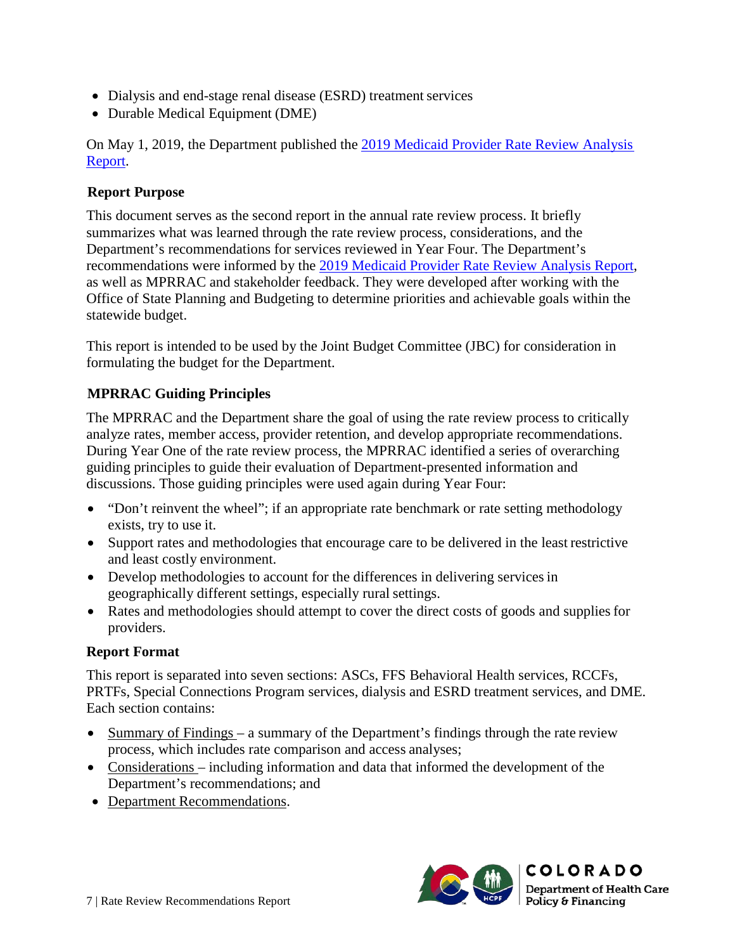- Dialysis and end-stage renal disease (ESRD) treatment services
- Durable Medical Equipment (DME)

On May 1, 2019, the Department published the [2019 Medicaid Provider Rate Review Analysis](https://www.colorado.gov/pacific/sites/default/files/2019%20Medicaid%20Provider%20Rate%20Review%20Analysis%20Report-v2.pdf) [Report.](https://www.colorado.gov/pacific/sites/default/files/2019%20Medicaid%20Provider%20Rate%20Review%20Analysis%20Report-v2.pdf)

## <span id="page-10-0"></span>**Report Purpose**

This document serves as the second report in the annual rate review process. It briefly summarizes what was learned through the rate review process, considerations, and the Department's recommendations for services reviewed in Year Four. The Department's recommendations were informed by the [2019 Medicaid Provider Rate Review Analysis Report,](https://www.colorado.gov/pacific/sites/default/files/2019%20Medicaid%20Provider%20Rate%20Review%20Analysis%20Report-v2.pdf) as well as MPRRAC and stakeholder feedback. They were developed after working with the Office of State Planning and Budgeting to determine priorities and achievable goals within the statewide budget.

This report is intended to be used by the Joint Budget Committee (JBC) for consideration in formulating the budget for the Department.

## <span id="page-10-1"></span>**MPRRAC Guiding Principles**

The MPRRAC and the Department share the goal of using the rate review process to critically analyze rates, member access, provider retention, and develop appropriate recommendations. During Year One of the rate review process, the MPRRAC identified a series of overarching guiding principles to guide their evaluation of Department-presented information and discussions. Those guiding principles were used again during Year Four:

- "Don't reinvent the wheel"; if an appropriate rate benchmark or rate setting methodology exists, try to use it.
- Support rates and methodologies that encourage care to be delivered in the least restrictive and least costly environment.
- Develop methodologies to account for the differences in delivering services in geographically different settings, especially rural settings.
- Rates and methodologies should attempt to cover the direct costs of goods and supplies for providers.

## <span id="page-10-2"></span>**Report Format**

This report is separated into seven sections: ASCs, FFS Behavioral Health services, RCCFs, PRTFs, Special Connections Program services, dialysis and ESRD treatment services, and DME. Each section contains:

- Summary of Findings a summary of the Department's findings through the rate review process, which includes rate comparison and access analyses;
- Considerations including information and data that informed the development of the Department's recommendations; and
- Department Recommendations.

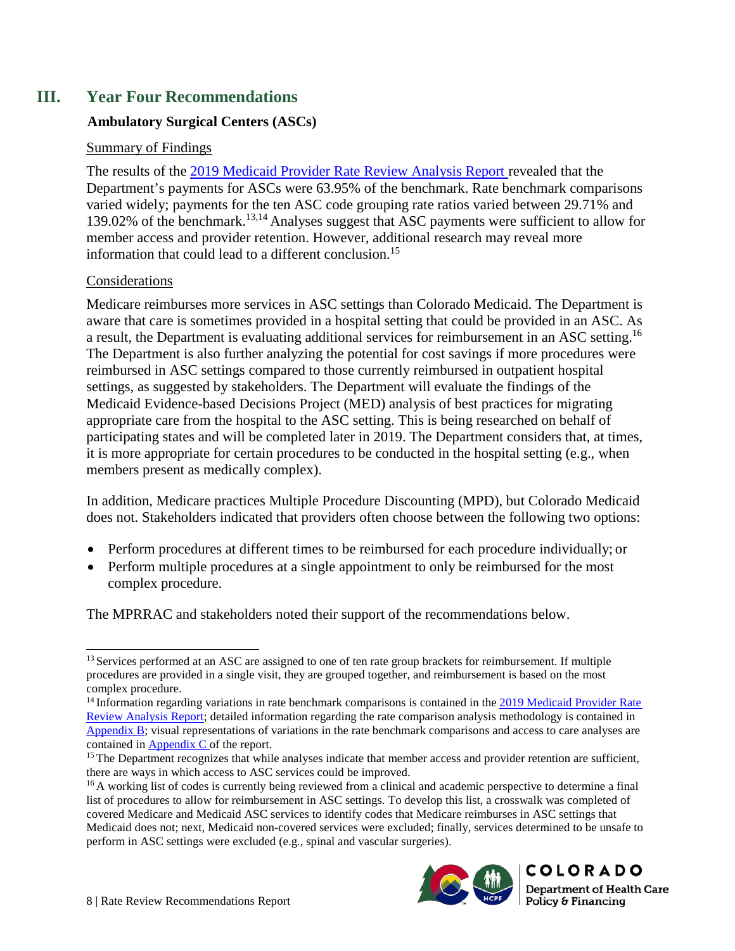## <span id="page-11-1"></span><span id="page-11-0"></span>**III. Year Four Recommendations**

## **Ambulatory Surgical Centers (ASCs)**

## Summary of Findings

The results of the [2019 Medicaid Provider Rate Review Analysis Report r](https://www.colorado.gov/pacific/sites/default/files/2019%20Medicaid%20Provider%20Rate%20Review%20Analysis%20Report-v2.pdf)evealed that the Department's payments for ASCs were 63.95% of the benchmark. Rate benchmark comparisons varied widely; payments for the ten ASC code grouping rate ratios varied between 29.71% and 139.02% of the benchmark.13,14 Analyses suggest that ASC payments were sufficient to allow for member access and provider retention. However, additional research may reveal more information that could lead to a different conclusion.15

#### Considerations

Medicare reimburses more services in ASC settings than Colorado Medicaid. The Department is aware that care is sometimes provided in a hospital setting that could be provided in an ASC. As a result, the Department is evaluating additional services for reimbursement in an ASC setting.16 The Department is also further analyzing the potential for cost savings if more procedures were reimbursed in ASC settings compared to those currently reimbursed in outpatient hospital settings, as suggested by stakeholders. The Department will evaluate the findings of the Medicaid Evidence-based Decisions Project (MED) analysis of best practices for migrating appropriate care from the hospital to the ASC setting. This is being researched on behalf of participating states and will be completed later in 2019. The Department considers that, at times, it is more appropriate for certain procedures to be conducted in the hospital setting (e.g., when members present as medically complex).

In addition, Medicare practices Multiple Procedure Discounting (MPD), but Colorado Medicaid does not. Stakeholders indicated that providers often choose between the following two options:

- Perform procedures at different times to be reimbursed for each procedure individually; or
- Perform multiple procedures at a single appointment to only be reimbursed for the most complex procedure.

The MPRRAC and stakeholders noted their support of the recommendations below.

<sup>&</sup>lt;sup>16</sup> A working list of codes is currently being reviewed from a clinical and academic perspective to determine a final list of procedures to allow for reimbursement in ASC settings. To develop this list, a crosswalk was completed of covered Medicare and Medicaid ASC services to identify codes that Medicare reimburses in ASC settings that Medicaid does not; next, Medicaid non-covered services were excluded; finally, services determined to be unsafe to perform in ASC settings were excluded (e.g., spinal and vascular surgeries).



<sup>&</sup>lt;sup>13</sup> Services performed at an ASC are assigned to one of ten rate group brackets for reimbursement. If multiple procedures are provided in a single visit, they are grouped together, and reimbursement is based on the most complex procedure.

<sup>&</sup>lt;sup>14</sup> Information regarding variations in rate benchmark comparisons is contained in the [2019 Medicaid Provider Rate](https://www.colorado.gov/pacific/sites/default/files/2019%20Medicaid%20Provider%20Rate%20Review%20Analysis%20Report-v2.pdf) [Review Analysis Report;](https://www.colorado.gov/pacific/sites/default/files/2019%20Medicaid%20Provider%20Rate%20Review%20Analysis%20Report-v2.pdf) detailed information regarding the rate comparison analysis methodology is contained in [Appendix B;](https://www.colorado.gov/pacific/sites/default/files/2019%20Medicaid%20Provider%20Rate%20Review%20Analysis%20Report%20-%20Appendix%20B.pdf) visual representations of variations in the rate benchmark comparisons and access to care analyses are contained i[n Appendix C o](https://www.colorado.gov/pacific/sites/default/files/2019%20Medicaid%20Provider%20Rate%20Review%20Analysis%20Report%20-%20Appendix%20C.pdf)f the report.

<sup>&</sup>lt;sup>15</sup> The Department recognizes that while analyses indicate that member access and provider retention are sufficient, there are ways in which access to ASC services could be improved.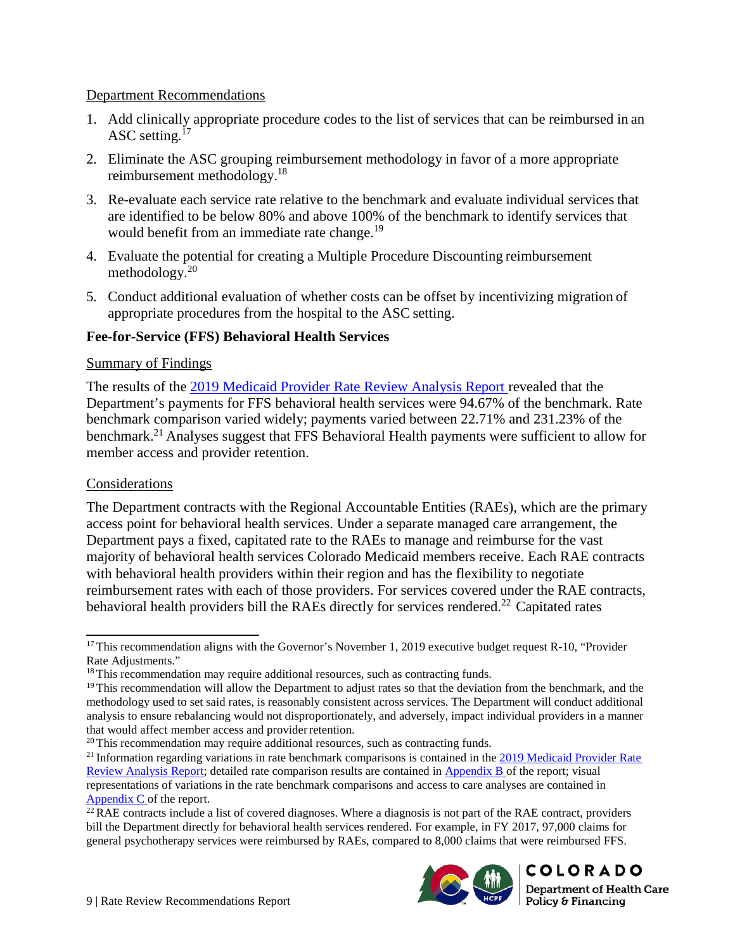#### Department Recommendations

- 1. Add clinically appropriate procedure codes to the list of services that can be reimbursed in an ASC setting.<sup>17</sup>
- 2. Eliminate the ASC grouping reimbursement methodology in favor of a more appropriate reimbursement methodology.<sup>18</sup>
- 3. Re-evaluate each service rate relative to the benchmark and evaluate individual services that are identified to be below 80% and above 100% of the benchmark to identify services that would benefit from an immediate rate change.<sup>19</sup>
- 4. Evaluate the potential for creating a Multiple Procedure Discounting reimbursement methodology. $20$
- 5. Conduct additional evaluation of whether costs can be offset by incentivizing migration of appropriate procedures from the hospital to the ASC setting.

#### <span id="page-12-0"></span>**Fee-for-Service (FFS) Behavioral Health Services**

#### Summary of Findings

The results of the [2019 Medicaid Provider Rate Review Analysis Report r](https://www.colorado.gov/pacific/sites/default/files/2019%20Medicaid%20Provider%20Rate%20Review%20Analysis%20Report-v2.pdf)evealed that the Department's payments for FFS behavioral health services were 94.67% of the benchmark. Rate benchmark comparison varied widely; payments varied between 22.71% and 231.23% of the benchmark.<sup>21</sup> Analyses suggest that FFS Behavioral Health payments were sufficient to allow for member access and provider retention.

#### Considerations

The Department contracts with the Regional Accountable Entities (RAEs), which are the primary access point for behavioral health services. Under a separate managed care arrangement, the Department pays a fixed, capitated rate to the RAEs to manage and reimburse for the vast majority of behavioral health services Colorado Medicaid members receive. Each RAE contracts with behavioral health providers within their region and has the flexibility to negotiate reimbursement rates with each of those providers. For services covered under the RAE contracts, behavioral health providers bill the RAEs directly for services rendered.<sup>22</sup> Capitated rates

 $^{22}$  RAE contracts include a list of covered diagnoses. Where a diagnosis is not part of the RAE contract, providers bill the Department directly for behavioral health services rendered. For example, in FY 2017, 97,000 claims for general psychotherapy services were reimbursed by RAEs, compared to 8,000 claims that were reimbursed FFS.



<sup>&</sup>lt;sup>17</sup> This recommendation aligns with the Governor's November 1, 2019 executive budget request R-10, "Provider Rate Adjustments."

<sup>&</sup>lt;sup>18</sup> This recommendation may require additional resources, such as contracting funds.

 $19$  This recommendation will allow the Department to adjust rates so that the deviation from the benchmark, and the methodology used to set said rates, is reasonably consistent across services. The Department will conduct additional analysis to ensure rebalancing would not disproportionately, and adversely, impact individual providers in a manner that would affect member access and provider retention.

<sup>&</sup>lt;sup>20</sup> This recommendation may require additional resources, such as contracting funds.

 $^{21}$  Information regarding variations in rate benchmark comparisons is contained in the [2019 Medicaid Provider Rate](https://www.colorado.gov/pacific/sites/default/files/2019%20Medicaid%20Provider%20Rate%20Review%20Analysis%20Report-v2.pdf) [Review Analysis Report;](https://www.colorado.gov/pacific/sites/default/files/2019%20Medicaid%20Provider%20Rate%20Review%20Analysis%20Report-v2.pdf) detailed rate comparison results are contained in [Appendix B o](https://www.colorado.gov/pacific/sites/default/files/2019%20Medicaid%20Provider%20Rate%20Review%20Analysis%20Report%20-%20Appendix%20B.pdf)f the report; visual representations of variations in the rate benchmark comparisons and access to care analyses are contained in [Appendix C o](https://www.colorado.gov/pacific/sites/default/files/2019%20Medicaid%20Provider%20Rate%20Review%20Analysis%20Report%20-%20Appendix%20C.pdf)f the report.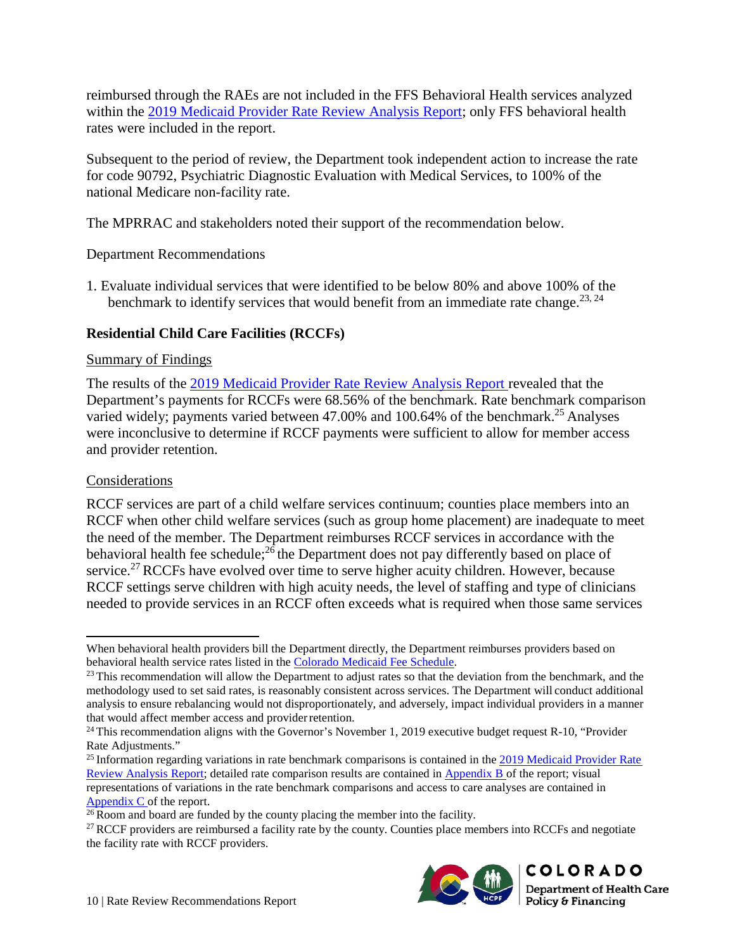reimbursed through the RAEs are not included in the FFS Behavioral Health services analyzed within the [2019 Medicaid Provider Rate Review Analysis Report;](https://www.colorado.gov/pacific/sites/default/files/2019%20Medicaid%20Provider%20Rate%20Review%20Analysis%20Report-v2.pdf) only FFS behavioral health rates were included in the report.

Subsequent to the period of review, the Department took independent action to increase the rate for code 90792, Psychiatric Diagnostic Evaluation with Medical Services, to 100% of the national Medicare non-facility rate.

The MPRRAC and stakeholders noted their support of the recommendation below.

Department Recommendations

1. Evaluate individual services that were identified to be below 80% and above 100% of the benchmark to identify services that would benefit from an immediate rate change.<sup>23, 24</sup>

#### <span id="page-13-0"></span>**Residential Child Care Facilities (RCCFs)**

#### Summary of Findings

The results of the [2019 Medicaid Provider Rate Review Analysis Report r](https://www.colorado.gov/pacific/sites/default/files/2019%20Medicaid%20Provider%20Rate%20Review%20Analysis%20Report-v2.pdf)evealed that the Department's payments for RCCFs were 68.56% of the benchmark. Rate benchmark comparison varied widely; payments varied between 47.00% and 100.64% of the benchmark.<sup>25</sup> Analyses were inconclusive to determine if RCCF payments were sufficient to allow for member access and provider retention.

#### Considerations

RCCF services are part of a child welfare services continuum; counties place members into an RCCF when other child welfare services (such as group home placement) are inadequate to meet the need of the member. The Department reimburses RCCF services in accordance with the behavioral health fee schedule; $^{26}$  the Department does not pay differently based on place of service.<sup>27</sup> RCCFs have evolved over time to serve higher acuity children. However, because RCCF settings serve children with high acuity needs, the level of staffing and type of clinicians needed to provide services in an RCCF often exceeds what is required when those same services

 $27$  RCCF providers are reimbursed a facility rate by the county. Counties place members into RCCFs and negotiate the facility rate with RCCF providers.



When behavioral health providers bill the Department directly, the Department reimburses providers based on behavioral health service rates listed in the [Colorado Medicaid Fee Schedule.](https://www.colorado.gov/hcpf/provider-rates-fee-schedule)

 $23$  This recommendation will allow the Department to adjust rates so that the deviation from the benchmark, and the methodology used to set said rates, is reasonably consistent across services. The Department will conduct additional analysis to ensure rebalancing would not disproportionately, and adversely, impact individual providers in a manner that would affect member access and provider retention.

 $24$  This recommendation aligns with the Governor's November 1, 2019 executive budget request R-10, "Provider Rate Adjustments."

 $^{25}$  Information regarding variations in rate benchmark comparisons is contained in the  $2019$  Medicaid Provider Rate [Review Analysis Report;](https://www.colorado.gov/pacific/sites/default/files/2019%20Medicaid%20Provider%20Rate%20Review%20Analysis%20Report-v2.pdf) detailed rate comparison results are contained in [Appendix B o](https://www.colorado.gov/pacific/sites/default/files/2019%20Medicaid%20Provider%20Rate%20Review%20Analysis%20Report%20-%20Appendix%20B.pdf)f the report; visual representations of variations in the rate benchmark comparisons and access to care analyses are contained in [Appendix C o](https://www.colorado.gov/pacific/sites/default/files/2019%20Medicaid%20Provider%20Rate%20Review%20Analysis%20Report%20-%20Appendix%20C.pdf)f the report.

 $26$  Room and board are funded by the county placing the member into the facility.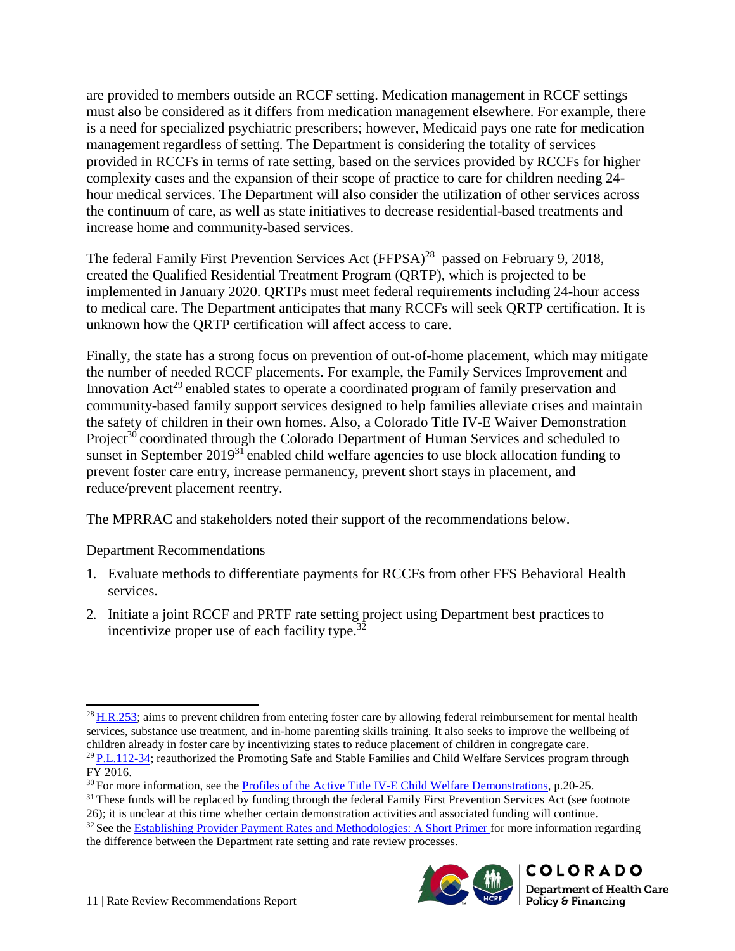are provided to members outside an RCCF setting. Medication management in RCCF settings must also be considered as it differs from medication management elsewhere. For example, there is a need for specialized psychiatric prescribers; however, Medicaid pays one rate for medication management regardless of setting. The Department is considering the totality of services provided in RCCFs in terms of rate setting, based on the services provided by RCCFs for higher complexity cases and the expansion of their scope of practice to care for children needing 24 hour medical services. The Department will also consider the utilization of other services across the continuum of care, as well as state initiatives to decrease residential-based treatments and increase home and community-based services.

The federal Family First Prevention Services Act  $(FFPSA)^{28}$  passed on February 9, 2018, created the Qualified Residential Treatment Program (QRTP), which is projected to be implemented in January 2020. QRTPs must meet federal requirements including 24-hour access to medical care. The Department anticipates that many RCCFs will seek QRTP certification. It is unknown how the QRTP certification will affect access to care.

Finally, the state has a strong focus on prevention of out-of-home placement, which may mitigate the number of needed RCCF placements. For example, the Family Services Improvement and Innovation Act<sup>29</sup> enabled states to operate a coordinated program of family preservation and community-based family support services designed to help families alleviate crises and maintain the safety of children in their own homes. Also, a Colorado Title IV-E Waiver Demonstration Project<sup>30</sup> coordinated through the Colorado Department of Human Services and scheduled to sunset in September 2019<sup>31</sup> enabled child welfare agencies to use block allocation funding to prevent foster care entry, increase permanency, prevent short stays in placement, and reduce/prevent placement reentry.

The MPRRAC and stakeholders noted their support of the recommendations below.

## Department Recommendations

- 1. Evaluate methods to differentiate payments for RCCFs from other FFS Behavioral Health services.
- 2. Initiate a joint RCCF and PRTF rate setting project using Department best practicesto incentivize proper use of each facility type.<sup>32</sup>

<sup>26);</sup> it is unclear at this time whether certain demonstration activities and associated funding will continue. <sup>32</sup> See the [Establishing Provider Payment Rates and Methodologies: A Short Primer f](https://www.colorado.gov/pacific/sites/default/files/Establishing%20Provider%20Payment%20Rates%20and%20Methodologies%20-%20A%20Short%20Primer.pdf)or more information regarding the difference between the Department rate setting and rate review processes.



<sup>&</sup>lt;sup>28</sup> H.R.253; aims to prevent children from entering foster care by allowing federal reimbursement for mental health services, substance use treatment, and in-home parenting skills training. It also seeks to improve the wellbeing of children already in foster care by incentivizing states to reduce placement of children in congregate care. 2[9 P.L.112-34;](https://www.congress.gov/112/plaws/publ34/PLAW-112publ34.pdf) reauthorized the Promoting Safe and Stable Families and Child Welfare Services program through FY 2016.

<sup>&</sup>lt;sup>30</sup> For more information, see the [Profiles of the Active Title IV-E Child Welfare Demonstrations,](https://www.acf.hhs.gov/sites/default/files/cb/compiled_profiles.pdf) p.20-25.

<sup>&</sup>lt;sup>31</sup> These funds will be replaced by funding through the federal Family First Prevention Services Act (see footnote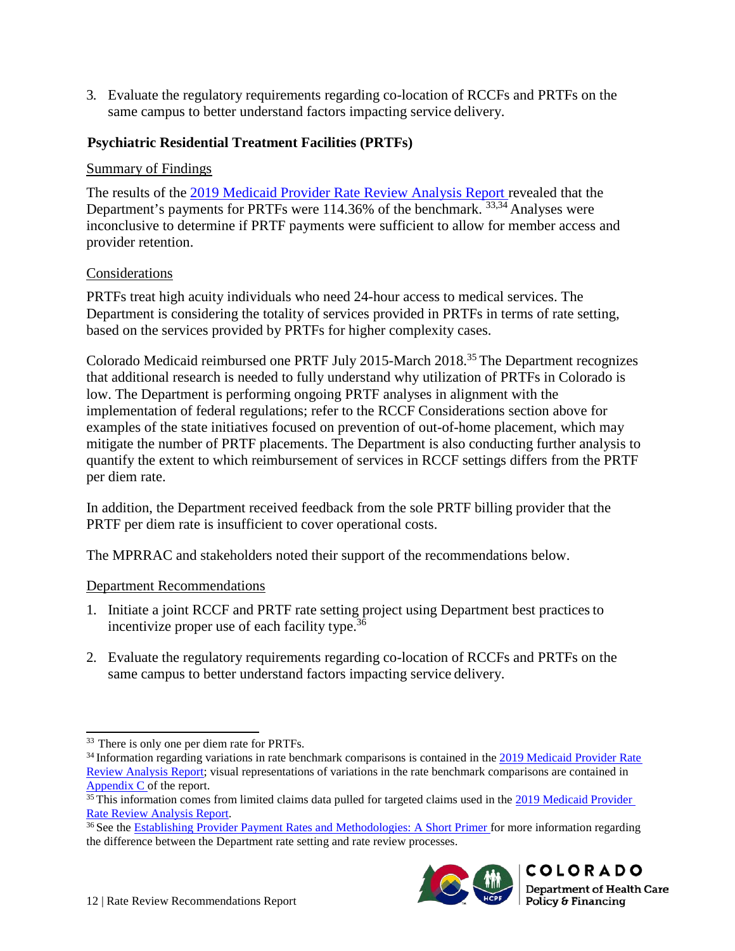3. Evaluate the regulatory requirements regarding co-location of RCCFs and PRTFs on the same campus to better understand factors impacting service delivery.

## <span id="page-15-0"></span>**Psychiatric Residential Treatment Facilities (PRTFs)**

#### Summary of Findings

The results of the [2019 Medicaid Provider Rate Review Analysis Report r](https://www.colorado.gov/pacific/sites/default/files/2019%20Medicaid%20Provider%20Rate%20Review%20Analysis%20Report-v2.pdf)evealed that the Department's payments for PRTFs were 114.36% of the benchmark. <sup>33,34</sup> Analyses were inconclusive to determine if PRTF payments were sufficient to allow for member access and provider retention.

#### Considerations

PRTFs treat high acuity individuals who need 24-hour access to medical services. The Department is considering the totality of services provided in PRTFs in terms of rate setting, based on the services provided by PRTFs for higher complexity cases.

Colorado Medicaid reimbursed one PRTF July 2015-March 2018.35 The Department recognizes that additional research is needed to fully understand why utilization of PRTFs in Colorado is low. The Department is performing ongoing PRTF analyses in alignment with the implementation of federal regulations; refer to the RCCF Considerations section above for examples of the state initiatives focused on prevention of out-of-home placement, which may mitigate the number of PRTF placements. The Department is also conducting further analysis to quantify the extent to which reimbursement of services in RCCF settings differs from the PRTF per diem rate.

In addition, the Department received feedback from the sole PRTF billing provider that the PRTF per diem rate is insufficient to cover operational costs.

The MPRRAC and stakeholders noted their support of the recommendations below.

#### Department Recommendations

- 1. Initiate a joint RCCF and PRTF rate setting project using Department best practicesto incentivize proper use of each facility type.<sup>36</sup>
- 2. Evaluate the regulatory requirements regarding co-location of RCCFs and PRTFs on the same campus to better understand factors impacting service delivery.

<sup>&</sup>lt;sup>36</sup> See the [Establishing Provider Payment Rates and Methodologies: A Short Primer f](https://www.colorado.gov/pacific/sites/default/files/Establishing%20Provider%20Payment%20Rates%20and%20Methodologies%20-%20A%20Short%20Primer.pdf)or more information regarding the difference between the Department rate setting and rate review processes.



<sup>33</sup> There is only one per diem rate for PRTFs.

<sup>&</sup>lt;sup>34</sup> Information regarding variations in rate benchmark comparisons is contained in the [2019 Medicaid Provider Rate](https://www.colorado.gov/pacific/sites/default/files/2019%20Medicaid%20Provider%20Rate%20Review%20Analysis%20Report-v2.pdf) [Review Analysis Report;](https://www.colorado.gov/pacific/sites/default/files/2019%20Medicaid%20Provider%20Rate%20Review%20Analysis%20Report-v2.pdf) visual representations of variations in the rate benchmark comparisons are contained in [Appendix C o](https://www.colorado.gov/pacific/sites/default/files/2019%20Medicaid%20Provider%20Rate%20Review%20Analysis%20Report%20-%20Appendix%20C.pdf)f the report.

<sup>&</sup>lt;sup>35</sup> This information comes from limited claims data pulled for targeted claims used in the [2019 Medicaid Provider](https://www.colorado.gov/pacific/sites/default/files/2019%20Medicaid%20Provider%20Rate%20Review%20Analysis%20Report-v2.pdf) [Rate Review Analysis Report.](https://www.colorado.gov/pacific/sites/default/files/2019%20Medicaid%20Provider%20Rate%20Review%20Analysis%20Report-v2.pdf)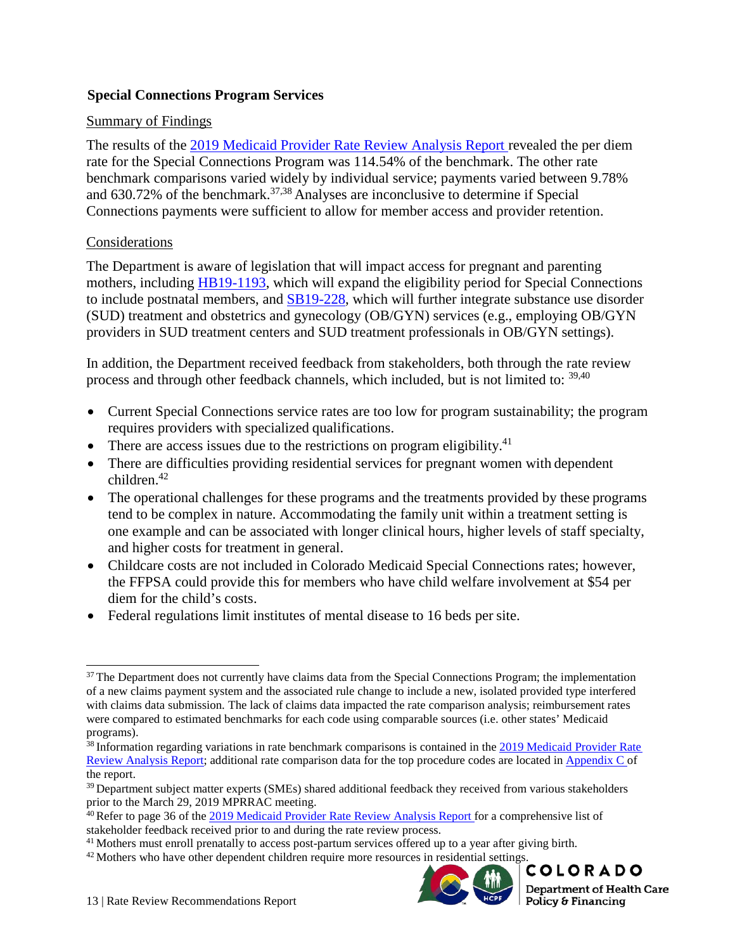#### <span id="page-16-0"></span>**Special Connections Program Services**

#### Summary of Findings

The results of the [2019 Medicaid Provider Rate Review Analysis Report r](https://www.colorado.gov/pacific/sites/default/files/2019%20Medicaid%20Provider%20Rate%20Review%20Analysis%20Report-v2.pdf)evealed the per diem rate for the Special Connections Program was 114.54% of the benchmark. The other rate benchmark comparisons varied widely by individual service; payments varied between 9.78% and  $630.72\%$  of the benchmark.<sup>37,38</sup> Analyses are inconclusive to determine if Special Connections payments were sufficient to allow for member access and provider retention.

#### Considerations

The Department is aware of legislation that will impact access for pregnant and parenting mothers, including [HB19-1193,](https://leg.colorado.gov/bills/hb19-1193) which will expand the eligibility period for Special Connections to include postnatal members, and [SB19-228,](https://leg.colorado.gov/bills/sb19-228) which will further integrate substance use disorder (SUD) treatment and obstetrics and gynecology (OB/GYN) services (e.g., employing OB/GYN providers in SUD treatment centers and SUD treatment professionals in OB/GYN settings).

In addition, the Department received feedback from stakeholders, both through the rate review process and through other feedback channels, which included, but is not limited to: 39,40

- Current Special Connections service rates are too low for program sustainability; the program requires providers with specialized qualifications.
- There are access issues due to the restrictions on program eligibility.<sup>41</sup>
- There are difficulties providing residential services for pregnant women with dependent  $children$ <sup>42</sup>
- The operational challenges for these programs and the treatments provided by these programs tend to be complex in nature. Accommodating the family unit within a treatment setting is one example and can be associated with longer clinical hours, higher levels of staff specialty, and higher costs for treatment in general.
- Childcare costs are not included in Colorado Medicaid Special Connections rates; however, the FFPSA could provide this for members who have child welfare involvement at \$54 per diem for the child's costs.
- Federal regulations limit institutes of mental disease to 16 beds per site.

<sup>&</sup>lt;sup>42</sup> Mothers who have other dependent children require more resources in residential settings.<br> **COLORADO** 



<sup>&</sup>lt;sup>37</sup> The Department does not currently have claims data from the Special Connections Program; the implementation of a new claims payment system and the associated rule change to include a new, isolated provided type interfered with claims data submission. The lack of claims data impacted the rate comparison analysis; reimbursement rates were compared to estimated benchmarks for each code using comparable sources (i.e. other states' Medicaid programs).

<sup>&</sup>lt;sup>38</sup> Information regarding variations in rate benchmark comparisons is contained in the [2019 Medicaid Provider Rate](https://www.colorado.gov/pacific/sites/default/files/2019%20Medicaid%20Provider%20Rate%20Review%20Analysis%20Report-v2.pdf) [Review Analysis Report;](https://www.colorado.gov/pacific/sites/default/files/2019%20Medicaid%20Provider%20Rate%20Review%20Analysis%20Report-v2.pdf) additional rate comparison data for the top procedure codes are located i[n Appendix C o](https://www.colorado.gov/pacific/sites/default/files/2019%20Medicaid%20Provider%20Rate%20Review%20Analysis%20Report%20-%20Appendix%20C.pdf)f the report.

<sup>&</sup>lt;sup>39</sup> Department subject matter experts (SMEs) shared additional feedback they received from various stakeholders prior to the March 29, 2019 MPRRAC meeting.

 $40$  Refer to page 36 of the [2019 Medicaid Provider Rate Review Analysis Report f](https://www.colorado.gov/pacific/sites/default/files/2019%20Medicaid%20Provider%20Rate%20Review%20Analysis%20Report-v2.pdf)or a comprehensive list of stakeholder feedback received prior to and during the rate review process.

<sup>&</sup>lt;sup>41</sup> Mothers must enroll prenatally to access post-partum services offered up to a year after giving birth.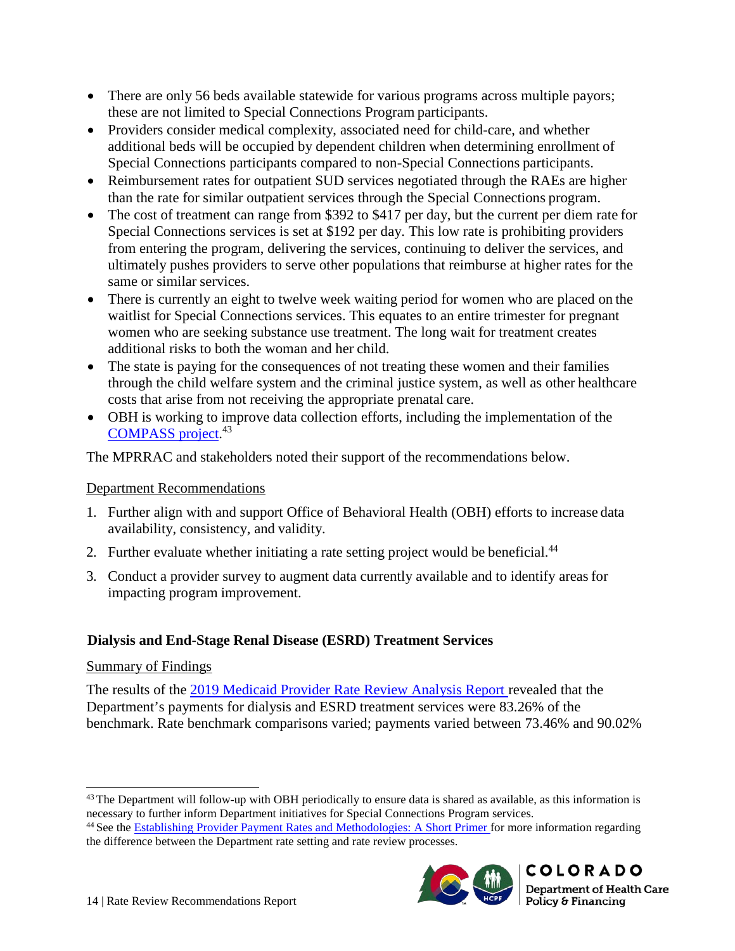- There are only 56 beds available statewide for various programs across multiple payors; these are not limited to Special Connections Program participants.
- Providers consider medical complexity, associated need for child-care, and whether additional beds will be occupied by dependent children when determining enrollment of Special Connections participants compared to non-Special Connections participants.
- Reimbursement rates for outpatient SUD services negotiated through the RAEs are higher than the rate for similar outpatient services through the Special Connections program.
- The cost of treatment can range from \$392 to \$417 per day, but the current per diem rate for Special Connections services is set at \$192 per day. This low rate is prohibiting providers from entering the program, delivering the services, continuing to deliver the services, and ultimately pushes providers to serve other populations that reimburse at higher rates for the same or similar services.
- There is currently an eight to twelve week waiting period for women who are placed on the waitlist for Special Connections services. This equates to an entire trimester for pregnant women who are seeking substance use treatment. The long wait for treatment creates additional risks to both the woman and her child.
- The state is paying for the consequences of not treating these women and their families through the child welfare system and the criminal justice system, as well as other healthcare costs that arise from not receiving the appropriate prenatal care.
- OBH is working to improve data collection efforts, including the implementation of the [COMPASS project.](https://www.colorado.gov/pacific/cdhs/colorado-compass)<sup>43</sup>

The MPRRAC and stakeholders noted their support of the recommendations below.

#### Department Recommendations

- 1. Further align with and support Office of Behavioral Health (OBH) efforts to increase data availability, consistency, and validity.
- 2. Further evaluate whether initiating a rate setting project would be beneficial.<sup>44</sup>
- 3. Conduct a provider survey to augment data currently available and to identify areasfor impacting program improvement.

## <span id="page-17-0"></span>**Dialysis and End-Stage Renal Disease (ESRD) Treatment Services**

#### Summary of Findings

The results of the [2019 Medicaid Provider Rate Review Analysis Report r](https://www.colorado.gov/pacific/sites/default/files/2019%20Medicaid%20Provider%20Rate%20Review%20Analysis%20Report-v2.pdf)evealed that the Department's payments for dialysis and ESRD treatment services were 83.26% of the benchmark. Rate benchmark comparisons varied; payments varied between 73.46% and 90.02%

<sup>&</sup>lt;sup>44</sup> See the [Establishing Provider Payment Rates and Methodologies: A Short Primer f](https://www.colorado.gov/pacific/sites/default/files/Establishing%20Provider%20Payment%20Rates%20and%20Methodologies%20-%20A%20Short%20Primer.pdf)or more information regarding the difference between the Department rate setting and rate review processes.



<sup>&</sup>lt;sup>43</sup> The Department will follow-up with OBH periodically to ensure data is shared as available, as this information is necessary to further inform Department initiatives for Special Connections Program services.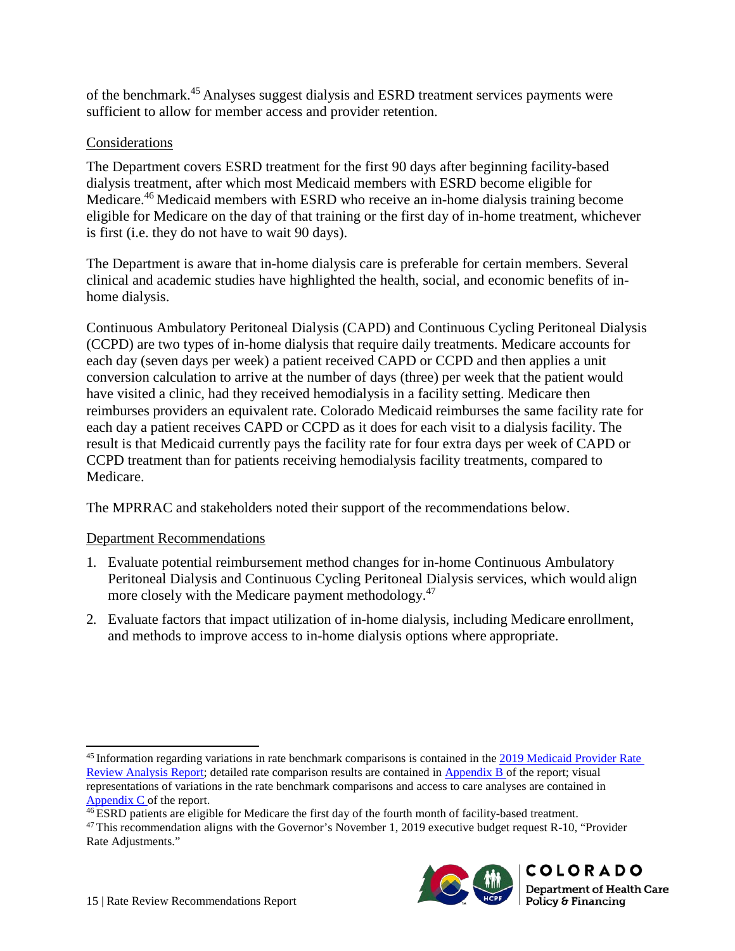of the benchmark.45 Analyses suggest dialysis and ESRD treatment services payments were sufficient to allow for member access and provider retention.

#### Considerations

The Department covers ESRD treatment for the first 90 days after beginning facility-based dialysis treatment, after which most Medicaid members with ESRD become eligible for Medicare.<sup>46</sup> Medicaid members with ESRD who receive an in-home dialysis training become eligible for Medicare on the day of that training or the first day of in-home treatment, whichever is first (i.e. they do not have to wait 90 days).

The Department is aware that in-home dialysis care is preferable for certain members. Several clinical and academic studies have highlighted the health, social, and economic benefits of inhome dialysis.

Continuous Ambulatory Peritoneal Dialysis (CAPD) and Continuous Cycling Peritoneal Dialysis (CCPD) are two types of in-home dialysis that require daily treatments. Medicare accounts for each day (seven days per week) a patient received CAPD or CCPD and then applies a unit conversion calculation to arrive at the number of days (three) per week that the patient would have visited a clinic, had they received hemodialysis in a facility setting. Medicare then reimburses providers an equivalent rate. Colorado Medicaid reimburses the same facility rate for each day a patient receives CAPD or CCPD as it does for each visit to a dialysis facility. The result is that Medicaid currently pays the facility rate for four extra days per week of CAPD or CCPD treatment than for patients receiving hemodialysis facility treatments, compared to Medicare.

The MPRRAC and stakeholders noted their support of the recommendations below.

#### Department Recommendations

- 1. Evaluate potential reimbursement method changes for in-home Continuous Ambulatory Peritoneal Dialysis and Continuous Cycling Peritoneal Dialysis services, which would align more closely with the Medicare payment methodology.<sup>47</sup>
- 2. Evaluate factors that impact utilization of in-home dialysis, including Medicare enrollment, and methods to improve access to in-home dialysis options where appropriate.

<sup>&</sup>lt;sup>47</sup> This recommendation aligns with the Governor's November 1, 2019 executive budget request R-10, "Provider Rate Adjustments."



<sup>&</sup>lt;sup>45</sup> Information regarding variations in rate benchmark comparisons is contained in the [2019 Medicaid Provider Rate](https://www.colorado.gov/pacific/sites/default/files/2019%20Medicaid%20Provider%20Rate%20Review%20Analysis%20Report-v2.pdf) [Review Analysis Report;](https://www.colorado.gov/pacific/sites/default/files/2019%20Medicaid%20Provider%20Rate%20Review%20Analysis%20Report-v2.pdf) detailed rate comparison results are contained in [Appendix B o](https://www.colorado.gov/pacific/sites/default/files/2019%20Medicaid%20Provider%20Rate%20Review%20Analysis%20Report%20-%20Appendix%20B.pdf)f the report; visual representations of variations in the rate benchmark comparisons and access to care analyses are contained in [Appendix C o](https://www.colorado.gov/pacific/sites/default/files/2019%20Medicaid%20Provider%20Rate%20Review%20Analysis%20Report%20-%20Appendix%20C.pdf)f the report.

<sup>&</sup>lt;sup>46</sup> ESRD patients are eligible for Medicare the first day of the fourth month of facility-based treatment.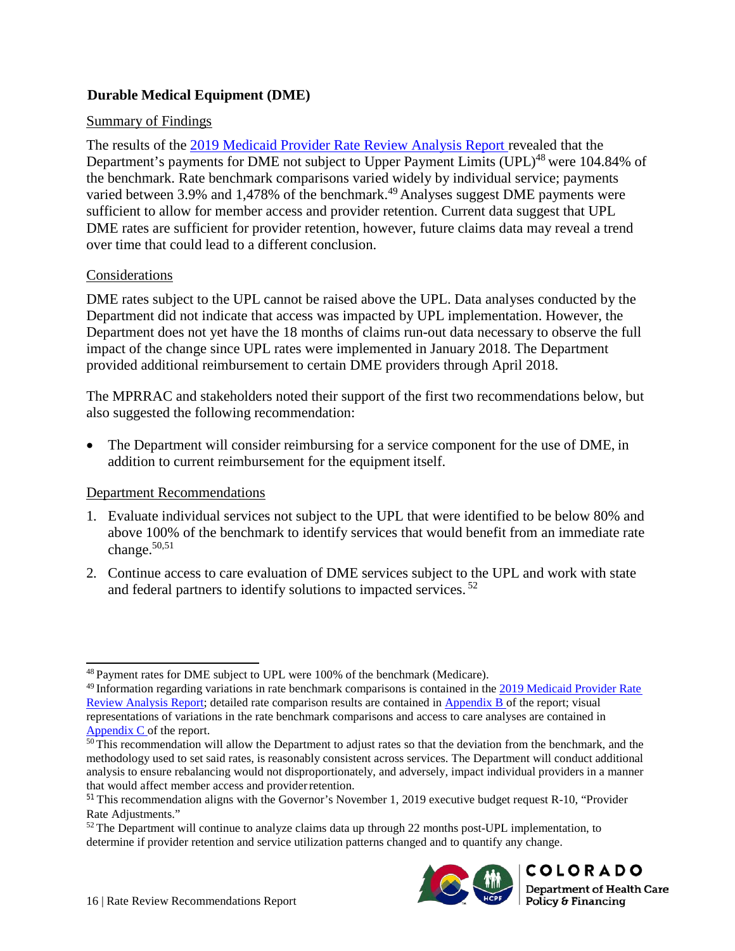## <span id="page-19-0"></span>**Durable Medical Equipment (DME)**

#### Summary of Findings

The results of the [2019 Medicaid Provider Rate Review Analysis Report r](https://www.colorado.gov/pacific/sites/default/files/2019%20Medicaid%20Provider%20Rate%20Review%20Analysis%20Report-v2.pdf)evealed that the Department's payments for DME not subject to Upper Payment Limits (UPL)<sup>48</sup> were 104.84% of the benchmark. Rate benchmark comparisons varied widely by individual service; payments varied between 3.9% and 1,478% of the benchmark.<sup>49</sup> Analyses suggest DME payments were sufficient to allow for member access and provider retention. Current data suggest that UPL DME rates are sufficient for provider retention, however, future claims data may reveal a trend over time that could lead to a different conclusion.

#### Considerations

DME rates subject to the UPL cannot be raised above the UPL. Data analyses conducted by the Department did not indicate that access was impacted by UPL implementation. However, the Department does not yet have the 18 months of claims run-out data necessary to observe the full impact of the change since UPL rates were implemented in January 2018. The Department provided additional reimbursement to certain DME providers through April 2018.

The MPRRAC and stakeholders noted their support of the first two recommendations below, but also suggested the following recommendation:

The Department will consider reimbursing for a service component for the use of DME, in addition to current reimbursement for the equipment itself.

#### Department Recommendations

- 1. Evaluate individual services not subject to the UPL that were identified to be below 80% and above 100% of the benchmark to identify services that would benefit from an immediate rate change. $50,51$
- 2. Continue access to care evaluation of DME services subject to the UPL and work with state and federal partners to identify solutions to impacted services.<sup>52</sup>

 $52$  The Department will continue to analyze claims data up through 22 months post-UPL implementation, to determine if provider retention and service utilization patterns changed and to quantify any change.



<sup>48</sup> Payment rates for DME subject to UPL were 100% of the benchmark (Medicare).

 $49$  Information regarding variations in rate benchmark comparisons is contained in the [2019 Medicaid Provider Rate](https://www.colorado.gov/pacific/sites/default/files/2019%20Medicaid%20Provider%20Rate%20Review%20Analysis%20Report-v2.pdf) [Review Analysis Report;](https://www.colorado.gov/pacific/sites/default/files/2019%20Medicaid%20Provider%20Rate%20Review%20Analysis%20Report-v2.pdf) detailed rate comparison results are contained in [Appendix B o](https://www.colorado.gov/pacific/sites/default/files/2019%20Medicaid%20Provider%20Rate%20Review%20Analysis%20Report%20-%20Appendix%20B.pdf)f the report; visual representations of variations in the rate benchmark comparisons and access to care analyses are contained in [Appendix C o](https://www.colorado.gov/pacific/sites/default/files/2019%20Medicaid%20Provider%20Rate%20Review%20Analysis%20Report%20-%20Appendix%20C.pdf)f the report.

 $\overline{50}$  This recommendation will allow the Department to adjust rates so that the deviation from the benchmark, and the methodology used to set said rates, is reasonably consistent across services. The Department will conduct additional analysis to ensure rebalancing would not disproportionately, and adversely, impact individual providers in a manner that would affect member access and provider retention.

<sup>&</sup>lt;sup>51</sup> This recommendation aligns with the Governor's November 1, 2019 executive budget request R-10, "Provider Rate Adjustments."